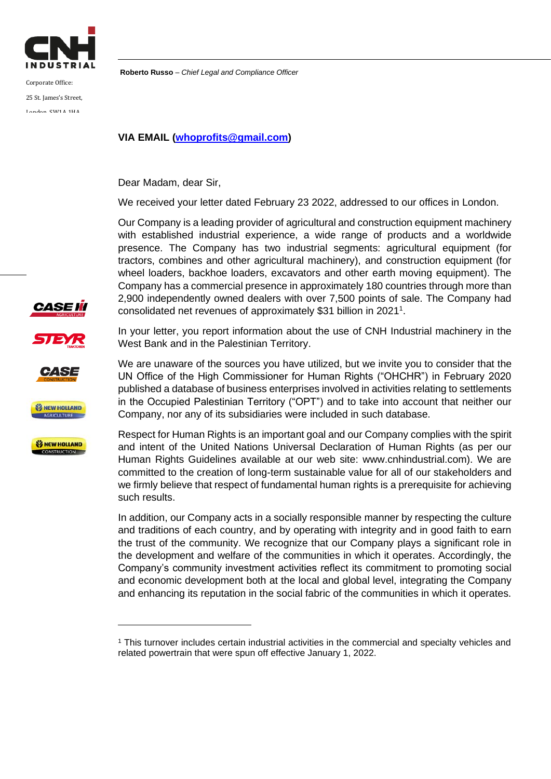

Corporate Office: 25 St. James's Street, London, SW1A 1HA,

**Roberto Russo** – *Chief Legal and Compliance Officer*

## **VIA EMAIL (whoprofits@gmail.com)**

Dear Madam, dear Sir,

We received your letter dated February 23 2022, addressed to our offices in London.

Our Company is a leading provider of agricultural and construction equipment machinery with established industrial experience, a wide range of products and a worldwide presence. The Company has two industrial segments: agricultural equipment (for tractors, combines and other agricultural machinery), and construction equipment (for wheel loaders, backhoe loaders, excavators and other earth moving equipment). The Company has a commercial presence in approximately 180 countries through more than 2,900 independently owned dealers with over 7,500 points of sale. The Company had consolidated net revenues of approximately \$31 billion in 2021 1 .

In your letter, you report information about the use of CNH Industrial machinery in the West Bank and in the Palestinian Territory.

We are unaware of the sources you have utilized, but we invite you to consider that the UN Office of the High Commissioner for Human Rights ("OHCHR") in February 2020 published a database of business enterprises involved in activities relating to settlements in the Occupied Palestinian Territory ("OPT") and to take into account that neither our Company, nor any of its subsidiaries were included in such database.

Respect for Human Rights is an important goal and our Company complies with the spirit and intent of the United Nations Universal Declaration of Human Rights (as per our Human Rights Guidelines available at our web site: www.cnhindustrial.com). We are committed to the creation of long-term sustainable value for all of our stakeholders and we firmly believe that respect of fundamental human rights is a prerequisite for achieving such results.

In addition, our Company acts in a socially responsible manner by respecting the culture and traditions of each country, and by operating with integrity and in good faith to earn the trust of the community. We recognize that our Company plays a significant role in the development and welfare of the communities in which it operates. Accordingly, the Company's community investment activities reflect its commitment to promoting social and economic development both at the local and global level, integrating the Company and enhancing its reputation in the social fabric of the communities in which it operates.











<sup>1</sup> This turnover includes certain industrial activities in the commercial and specialty vehicles and related powertrain that were spun off effective January 1, 2022.